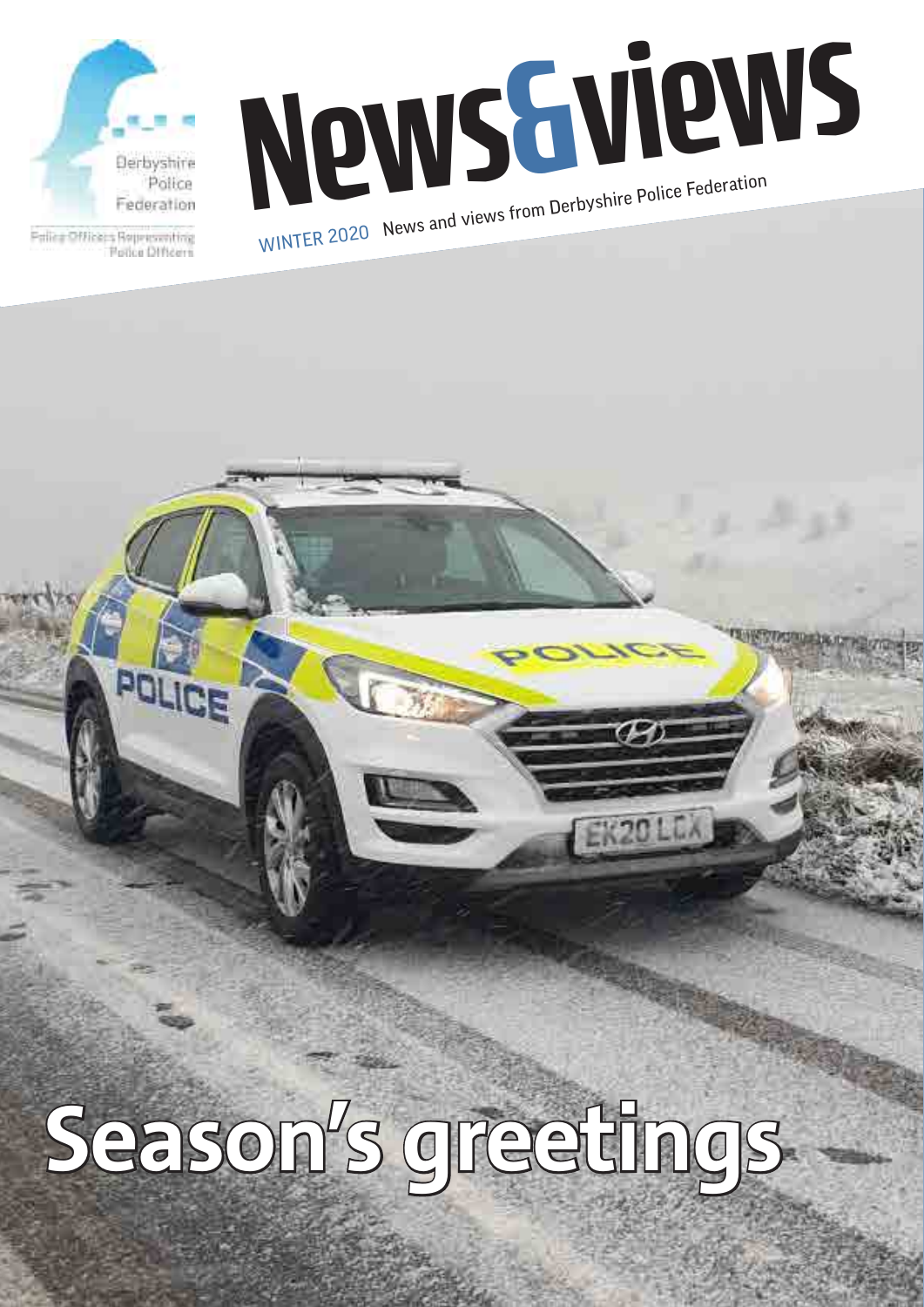

Potice Difficers

News Guie Police Federation WINTER 2020 News and views from Derbyshire Police Federation



**1**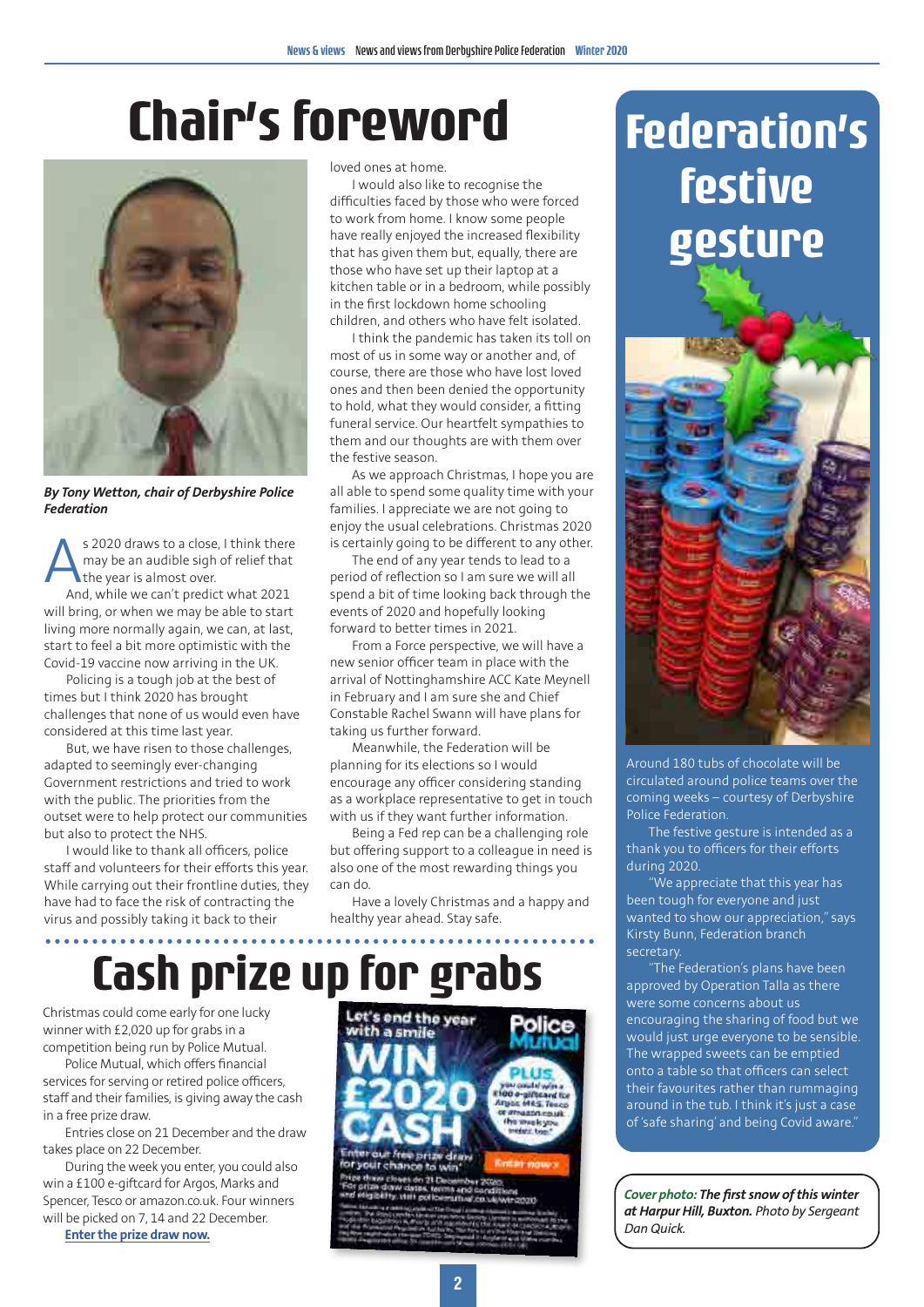### **Chair's foreword**



*By Tony Wetton, chair of Derbyshire Police Federation*

s 2020 draws to a close, I think there may be an audible sigh of relief that the year is almost over. And, while we can't predict what 2021 will bring, or when we may be able to start

living more normally again, we can, at last, start to feel a bit more optimistic with the Covid-19 vaccine now arriving in the UK. Policing is a tough job at the best of

times but I think 2020 has brought challenges that none of us would even have considered at this time last year.

But, we have risen to those challenges, adapted to seemingly ever-changing Government restrictions and tried to work with the public. The priorities from the outset were to help protect our communities but also to protect the NHS.

I would like to thank all officers, police staff and volunteers for their efforts this year. While carrying out their frontline duties, they have had to face the risk of contracting the virus and possibly taking it back to their

loved ones at home.

I would also like to recognise the difficulties faced by those who were forced to work from home. I know some people have really enjoyed the increased flexibility that has given them but, equally, there are those who have set up their laptop at a kitchen table or in a bedroom, while possibly in the first lockdown home schooling children, and others who have felt isolated.

I think the pandemic has taken its toll on most of us in some way or another and, of course, there are those who have lost loved ones and then been denied the opportunity to hold, what they would consider, a fitting funeral service. Our heartfelt sympathies to them and our thoughts are with them over the festive season.

As we approach Christmas, I hope you are all able to spend some quality time with your families. I appreciate we are not going to enjoy the usual celebrations. Christmas 2020 is certainly going to be different to any other.

The end of any year tends to lead to a period of reflection so I am sure we will all spend a bit of time looking back through the events of 2020 and hopefully looking forward to better times in 2021.

From a Force perspective, we will have a new senior officer team in place with the arrival of Nottinghamshire ACC Kate Meynell in February and I am sure she and Chief Constable Rachel Swann will have plans for taking us further forward.

Meanwhile, the Federation will be planning for its elections so I would encourage any officer considering standing as a workplace representative to get in touch with us if they want further information.

Being a Fed rep can be a challenging role but offering support to a colleague in need is also one of the most rewarding things you can do.

Have a lovely Christmas and a happy and healthy year ahead. Stay safe.

### **Cash prize up for grabs**

Christmas could come early for one lucky winner with £2,020 up for grabs in a competition being run by Police Mutual.

Police Mutual, which offers financial services for serving or retired police officers, staff and their families, is giving away the cash in a free prize draw.

Entries close on 21 December and the draw takes place on 22 December.

During the week you enter, you could also win a £100 e-giftcard for Argos, Marks and Spencer, Tesco or amazon.co.uk. Four winners will be picked on 7, 14 and 22 December.

**[Enter the prize draw now.](https://www.policemutual.co.uk/capture/win-2020/?utm_campaign=christmas&utm_source=federation&utm_medium=referral)**



### **Federation's festive gesture**



Around 180 tubs of chocolate will be circulated around police teams over the coming weeks – courtesy of Derbyshire Police Federation.

The festive gesture is intended as a thank you to officers for their efforts during 2020.

"We appreciate that this year has been tough for everyone and just wanted to show our appreciation," says Kirsty Bunn, Federation branch secretary.

"The Federation's plans have been approved by Operation Talla as there were some concerns about us encouraging the sharing of food but we would just urge everyone to be sensible. The wrapped sweets can be emptied onto a table so that officers can select their favourites rather than rummaging around in the tub. I think it's just a case of 'safe sharing' and being Covid aware."

*Cover photo: The first snow of this winter at Harpur Hill, Buxton. Photo by Sergeant Dan Quick.*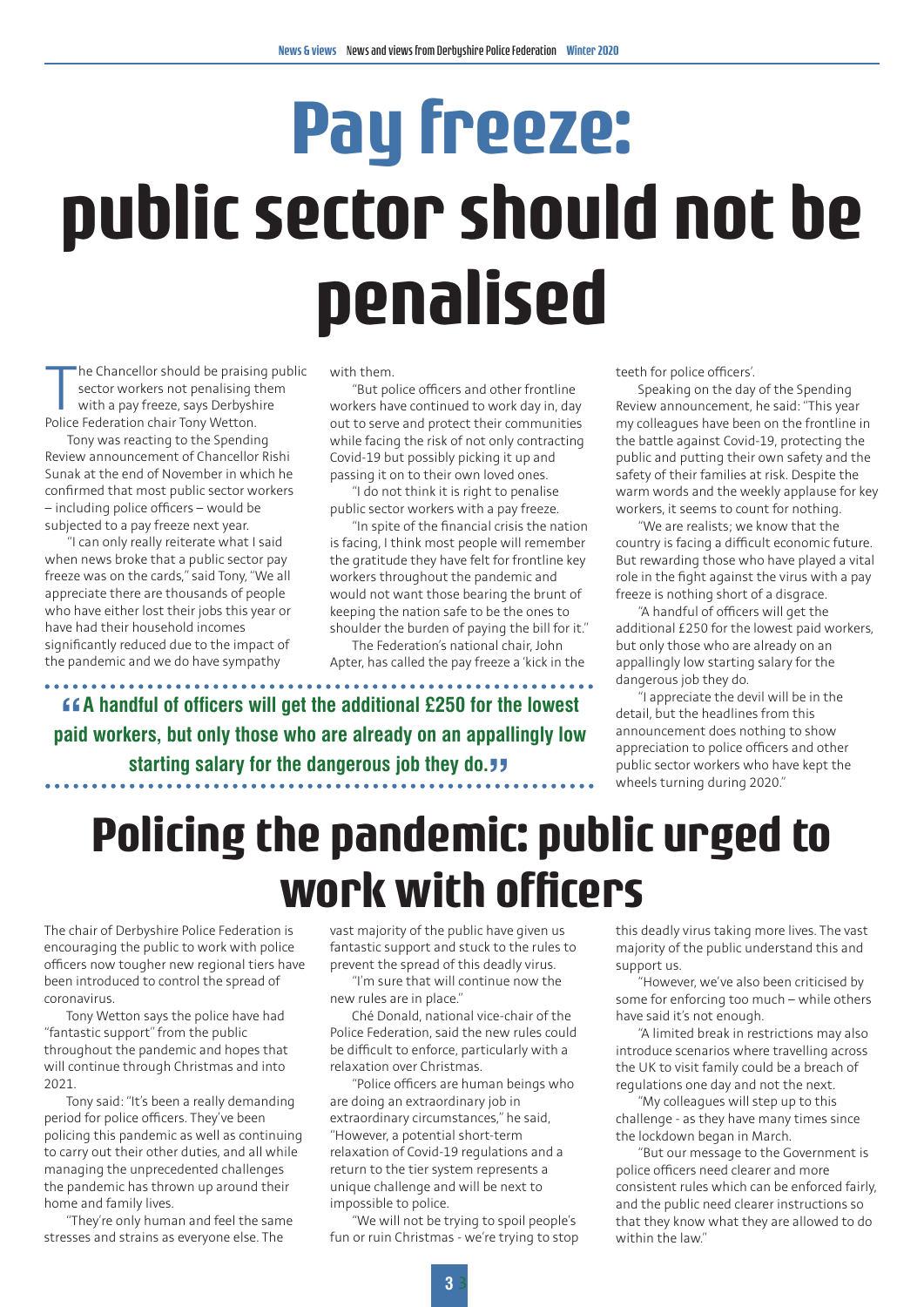## **Pay freeze: public sector should not be penalised**

The Chancellor should be praising<br>sector workers not penalising with a pay freeze, says Derbysh<br>Police Federation chair Tony Wetton. he Chancellor should be praising public sector workers not penalising them with a pay freeze, says Derbyshire

Tony was reacting to the Spending Review announcement of Chancellor Rishi Sunak at the end of November in which he confirmed that most public sector workers – including police officers – would be subjected to a pay freeze next year.

"I can only really reiterate what I said when news broke that a public sector pay freeze was on the cards," said Tony, "We all appreciate there are thousands of people who have either lost their jobs this year or have had their household incomes significantly reduced due to the impact of the pandemic and we do have sympathy

 $\ddot{\phantom{a}}$ 

with them.

**" paid workers, but only those who are already on an appallingly low A handful of officers will get the additional £250 for the lowest** 

**starting salary for the dangerous job they do. J.** 

"But police officers and other frontline workers have continued to work day in, day out to serve and protect their communities while facing the risk of not only contracting Covid-19 but possibly picking it up and passing it on to their own loved ones.

"I do not think it is right to penalise public sector workers with a pay freeze.

"In spite of the financial crisis the nation is facing, I think most people will remember the gratitude they have felt for frontline key workers throughout the pandemic and would not want those bearing the brunt of keeping the nation safe to be the ones to shoulder the burden of paying the bill for it."

The Federation's national chair, John Apter, has called the pay freeze a 'kick in the teeth for police officers'.

Speaking on the day of the Spending Review announcement, he said: "This year my colleagues have been on the frontline in the battle against Covid-19, protecting the public and putting their own safety and the safety of their families at risk. Despite the warm words and the weekly applause for key workers, it seems to count for nothing.

"We are realists; we know that the country is facing a difficult economic future. But rewarding those who have played a vital role in the fight against the virus with a pay freeze is nothing short of a disgrace.

"A handful of officers will get the additional £250 for the lowest paid workers, but only those who are already on an appallingly low starting salary for the dangerous job they do.

"I appreciate the devil will be in the detail, but the headlines from this announcement does nothing to show appreciation to police officers and other public sector workers who have kept the wheels turning during 2020."

### **Policing the pandemic: public urged to work with officers**

The chair of Derbyshire Police Federation is encouraging the public to work with police officers now tougher new regional tiers have been introduced to control the spread of coronavirus.

Tony Wetton says the police have had "fantastic support" from the public throughout the pandemic and hopes that will continue through Christmas and into  $2021$ 

Tony said: "It's been a really demanding period for police officers. They've been policing this pandemic as well as continuing to carry out their other duties, and all while managing the unprecedented challenges the pandemic has thrown up around their home and family lives.

"They're only human and feel the same stresses and strains as everyone else. The

vast majority of the public have given us fantastic support and stuck to the rules to prevent the spread of this deadly virus.

"I'm sure that will continue now the new rules are in place."

Ché Donald, national vice-chair of the Police Federation, said the new rules could be difficult to enforce, particularly with a relaxation over Christmas.

"Police officers are human beings who are doing an extraordinary job in extraordinary circumstances," he said, "However, a potential short-term relaxation of Covid-19 regulations and a return to the tier system represents a unique challenge and will be next to impossible to police.

"We will not be trying to spoil people's fun or ruin Christmas - we're trying to stop

this deadly virus taking more lives. The vast majority of the public understand this and support us.

"However, we've also been criticised by some for enforcing too much – while others have said it's not enough.

"A limited break in restrictions may also introduce scenarios where travelling across the UK to visit family could be a breach of regulations one day and not the next.

"My colleagues will step up to this challenge - as they have many times since the lockdown began in March.

"But our message to the Government is police officers need clearer and more consistent rules which can be enforced fairly, and the public need clearer instructions so that they know what they are allowed to do within the law."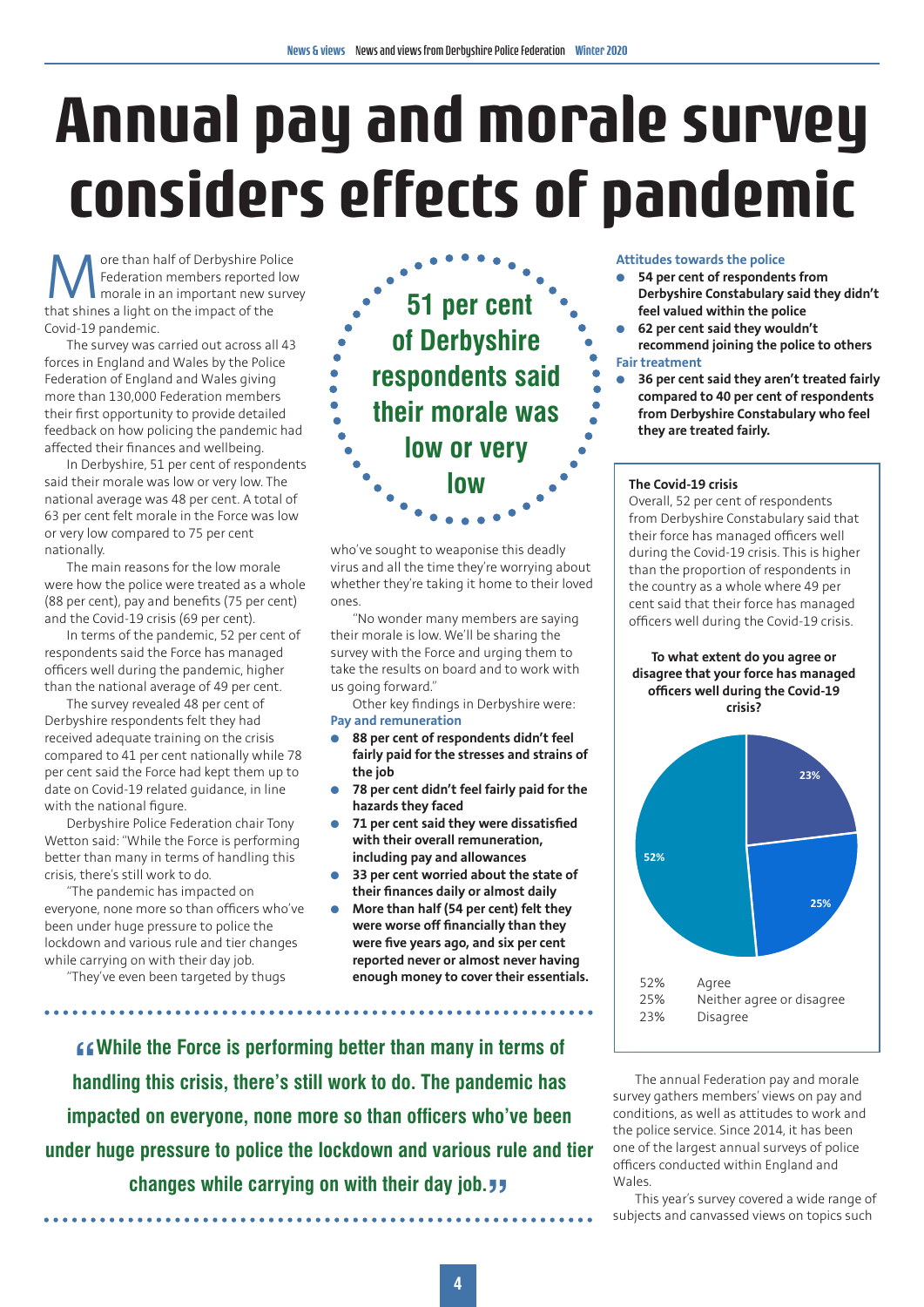### **Annual pay and morale survey considers effects of pandemic**

**M** ore than half of Derbyshire Police<br>
Federation members reported low<br>
that shines a light on the impact of the Federation members reported low morale in an important new survey that shines a light on the impact of the Covid-19 pandemic.

The survey was carried out across all 43 forces in England and Wales by the Police Federation of England and Wales giving more than 130,000 Federation members their first opportunity to provide detailed feedback on how policing the pandemic had affected their finances and wellbeing.

In Derbyshire, 51 per cent of respondents said their morale was low or very low. The national average was 48 per cent. A total of 63 per cent felt morale in the Force was low or very low compared to 75 per cent nationally.

The main reasons for the low morale were how the police were treated as a whole (88 per cent), pay and benefits (75 per cent) and the Covid-19 crisis (69 per cent).

In terms of the pandemic, 52 per cent of respondents said the Force has managed officers well during the pandemic, higher than the national average of 49 per cent.

The survey revealed 48 per cent of Derbyshire respondents felt they had received adequate training on the crisis compared to 41 per cent nationally while 78 per cent said the Force had kept them up to date on Covid-19 related guidance, in line with the national figure.

Derbyshire Police Federation chair Tony Wetton said: "While the Force is performing better than many in terms of handling this crisis, there's still work to do.

"The pandemic has impacted on everyone, none more so than officers who've been under huge pressure to police the lockdown and various rule and tier changes while carrying on with their day job.

"They've even been targeted by thugs



**THE COVID-19 COVID-20** C<br>Who've sought to weaponise this deadly cold d virus and all the time they're worrying about whether they're taking it home to their loved ones.

"No wonder many members are saying their morale is low. We'll be sharing the  $\overline{\phantom{a}}$ survey with the Force and urging them to take the results on board and to work with us going forward."

Other key findings in Derbyshire were: **Pay and remuneration**

- l **88 per cent of respondents didn't feel fairly paid for the stresses and strains of the job**
- **78 per cent didn't feel fairly paid for the hazards they faced**
- l **71 per cent said they were dissatisfied with their overall remuneration, including pay and allowances**
- l **33 per cent worried about the state of their finances daily or almost daily**
- l **More than half (54 per cent) felt they were worse off financially than they were five years ago, and six per cent reported never or almost never having enough money to cover their essentials.**

**" handling this crisis, there's still work to do. The pandemic has**  While the Force is performing better than many in terms of **COVID-19 of COVID-19 of Actional COVID-19 on COVID-19 on COVID-19 on COVID-19 or COVID-19 or COVID-19 or COVID-19 or COVID-19 or COVID-19 or COVID-19 or COVID-19 impacted on everyone, none more so than officers who've been under huge pressure to police the lockdown and various rule and tier**  related guidance. **78% of respondents from Derbyshire Constabulary said that their force** 

**changes while carrying on with their day job."** force.

#### **Attitudes towards the police**

- **54 per cent of respondents from Derbyshire Constabulary said they didn't feel valued within the police**
- l **62 per cent said they wouldn't recommend joining the police to others Fair treatment**
- l **36 per cent said they aren't treated fairly compared to 40 per cent of respondents from Derbyshire Constabulary who feel they are treated fairly.**

Overall, 52 per cent of respondents from Derbyshire Constabulary said that their force has managed officers well during the Covid-19 crisis. This is higher **overally** than the proportion of respondents in **g** it home to their loved  $\begin{bmatrix} \end{bmatrix}$  the country as a whole where 49 per cent said that their force has managed<br>country as a whole whole whole whole whole whole whole whole whole whole whole whole whole whole whole whole whole whole whole whole whole whole whole whole whole whole whole whole wh officers well during the Covid-19 crisis.

#### **To what extent do you agree or WOR WITH disagree that your force has managed disagree that your force has managed officers well during the Covid-19 crisis?** ere: **and the covid-19 crisis?**



The annual Federation pay and morale **pandemic nas**<br>survey gathers members' views on pay and<br>**had kept the annual redefation pay** and **pay** and conditions, as well as attitudes to work and **48 WHO VE DEEN** conditions, as well as accided sites for work and the police service. Since 2014, it has been **the police** service. Since 2014, it has been **tious rule and tier** one of the largest annual surveys of police officers conducted within England and Wales.

This year's survey covered a wide range of subjects and canvassed views on topics such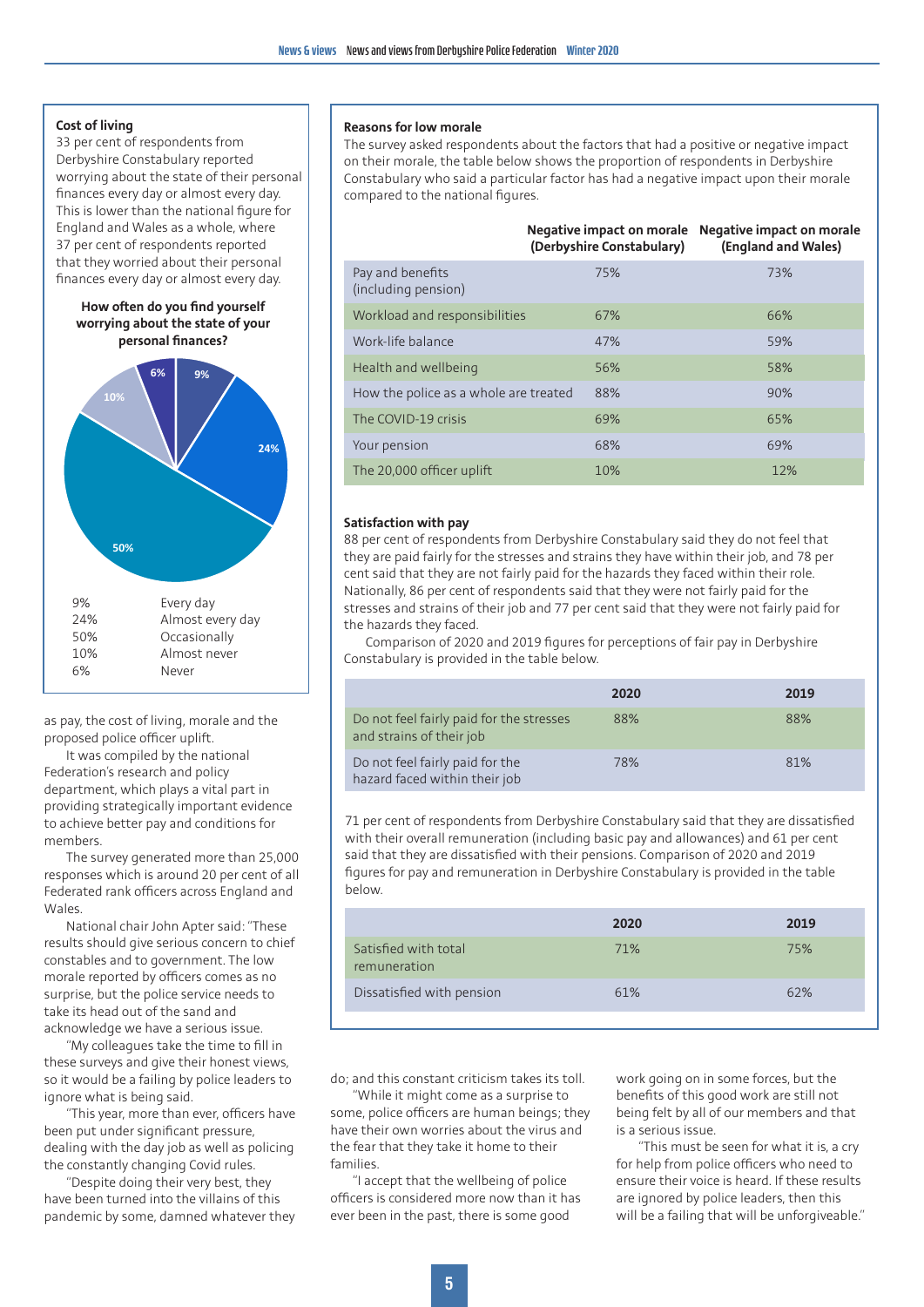#### **Pay And Replace And Remains Cost of living Cost of living**

**finances every day or almost every day.** Constabulary who sume the **finances** every day or almost every day. **This is lower than the national figure for**  $\begin{bmatrix} \phantom{-} \end{bmatrix}$ for England and Wales as a whole, where 37% of respondents reported that they worried England and Wales as a whole, where about their personal finances every day. The their personal 33 per cent of respondents from Derbyshire Constabulary reported worrying about the state of their personal 37 per cent of respondents reported finances every day or almost every day.

#### **How often do you find yourself about the state of about the state of about the state of about the state of about the state of about the state of about the state of about the state of about the state of about the state o your personal finances? worrying about the state of your personal finances?**



proposed ponce of almost never defined never having proposed ponce of the next spine. Federation's research and policy<br>
Nationally, the proportion of response the proportion of response the proportion of response to the proportion of response of the proportion of the proportion of the same of the proportion department, which plays a vital part in providing strategically important evidence to achieve better pay and conditions for **1998 of Table 1** and the constable that their exercise of responder members.

The survey generated more than 25,000 **Societ Stand that they are dissat** responses which is around 20 per cent of all  $\Box$  figures for pay and remu Federated rank officers across England and Wales.

> National chair John Apter said: "These results should give serious concern to chief constables and to government. The low morale reported by officers comes as no surprise, but the police service needs to take its head out of the sand and acknowledge we have a serious issue.

"My colleagues take the time to fill in these surveys and give their honest views, so it would be a failing by police leaders to ignore what is being said.

"This year, more than ever, officers have been put under significant pressure, dealing with the day job as well as policing the constantly changing Covid rules.

"Despite doing their very best, they have been turned into the villains of this pandemic by some, damned whatever they

#### **Reasons for low morale**

The survey asked respondents about the factors that had a positive or negative impact on their morale, the table below shows the proportion of respondents in Derbyshire Constabulary who said a particular factor has had a negative impact upon their morale compared to the national figures.

|                                         | Negative impact on morale<br>(Derbyshire Constabulary) | Negative impact on morale<br>(England and Wales) |
|-----------------------------------------|--------------------------------------------------------|--------------------------------------------------|
| Pay and benefits<br>(including pension) | 75%                                                    | 73%                                              |
| Workload and responsibilities           | 67%                                                    | 66%                                              |
| Work-life balance                       | 47%                                                    | 59%                                              |
| Health and wellbeing                    | 56%                                                    | 58%                                              |
| How the police as a whole are treated   | 88%                                                    | 90%                                              |
| The COVID-19 crisis                     | 69%                                                    | 65%                                              |
| Your pension                            | 68%                                                    | 69%                                              |
| The 20,000 officer uplift               | 10%                                                    | 12%                                              |

#### **Satisfaction with pay**

88 per cent of respondents from Derbyshire Constabulary said they do not feel that they are paid fairly for the stresses and strains they have within their job, and 78 per cent said that they are not fairly paid for the hazards they faced within their role. Nationally, 86 per cent of respondents said that they were not fairly paid for the stresses and strains of their job and 77 per cent said that they were not fairly paid for the hazards they faced.

Comparison of 2020 and 2019 figures for perceptions of fair pay in Derbyshire Constabulary is provided in the table below.

|                                                                                                                                                      |                                                                      | 2020 | 2019 |
|------------------------------------------------------------------------------------------------------------------------------------------------------|----------------------------------------------------------------------|------|------|
| as pay, the cost of living, morale and the<br>proposed police officer uplift.<br>It was compiled by the national<br>Federation's research and policy | Do not feel fairly paid for the stresses<br>and strains of their job | 88%  | 88%  |
|                                                                                                                                                      | Do not feel fairly paid for the<br>hazard faced within their job     | 78%  | 81%  |

71 per cent of respondents from Derbyshire Constabulary said that they are dissatisfied with their overall remuneration (including basic pay and allowances) and 61 per cent said that they are dissatisfied with their pensions. Comparison of 2020 and 2019 figures for pay and remuneration in Derbyshire Constabulary is provided in the table below.

|                                      | 2020 | 2019 |
|--------------------------------------|------|------|
| Satisfied with total<br>remuneration | 71%  | 75%  |
| Dissatisfied with pension            | 61%  | 62%  |

do; and this constant criticism takes its toll.

"While it might come as a surprise to some, police officers are human beings; they have their own worries about the virus and the fear that they take it home to their families.

"I accept that the wellbeing of police officers is considered more now than it has ever been in the past, there is some good

work going on in some forces, but the benefits of this good work are still not being felt by all of our members and that is a serious issue.

"This must be seen for what it is, a cry for help from police officers who need to ensure their voice is heard. If these results are ignored by police leaders, then this will be a failing that will be unforgiveable."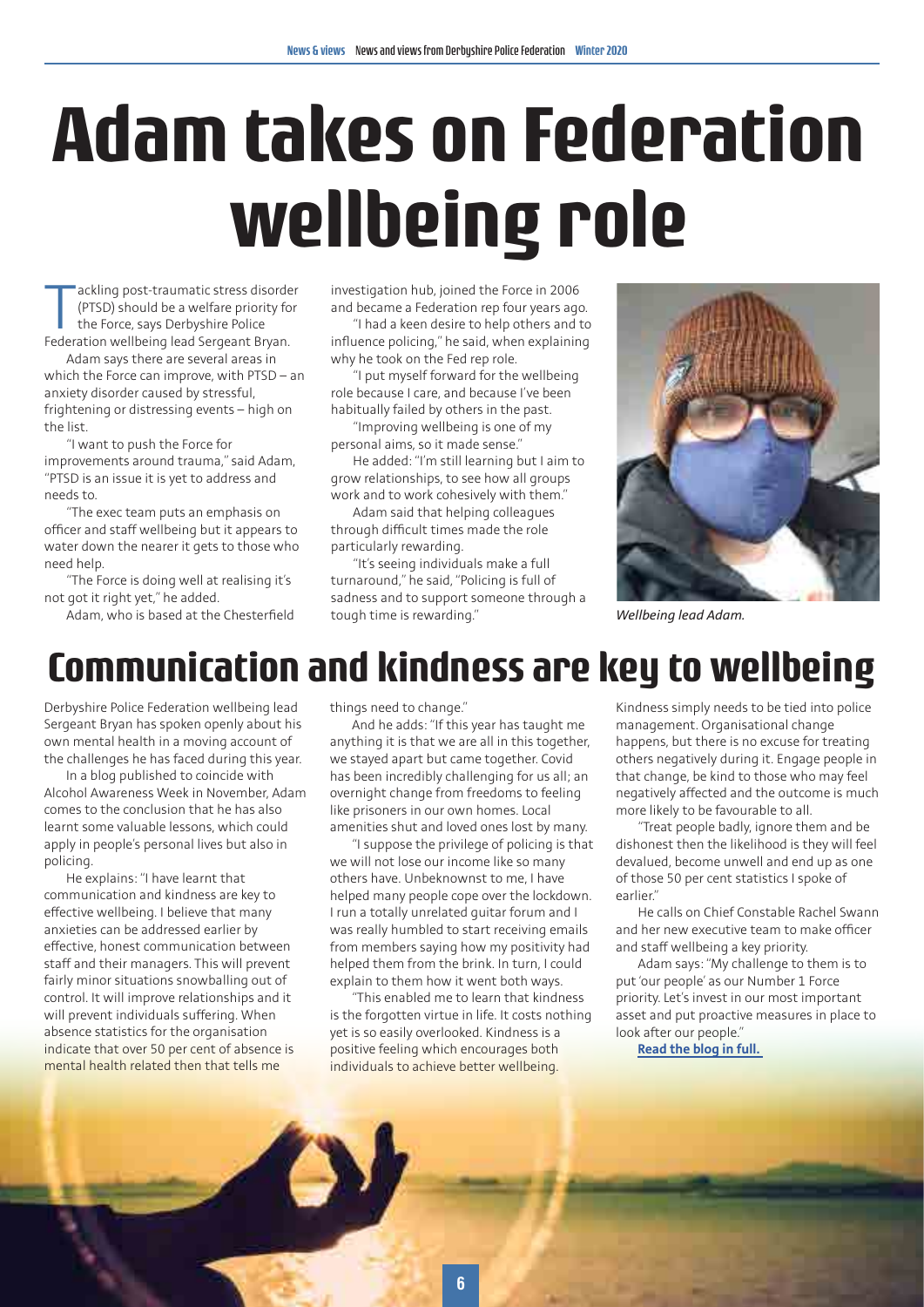## **Adam takes on Federation wellbeing role**

ackling post-traumatic stress disorde<br>(PTSD) should be a welfare priority for<br>the Force, says Derbyshire Police<br>Federation wellbeing lead Sergeant Bryan. ackling post-traumatic stress disorder (PTSD) should be a welfare priority for the Force, says Derbyshire Police

Adam says there are several areas in which the Force can improve, with PTSD – an anxiety disorder caused by stressful, frightening or distressing events – high on the list.

"I want to push the Force for improvements around trauma," said Adam, "PTSD is an issue it is yet to address and needs to.

"The exec team puts an emphasis on officer and staff wellbeing but it appears to water down the nearer it gets to those who need help.

"The Force is doing well at realising it's not got it right yet," he added.

Adam, who is based at the Chesterfield

investigation hub, joined the Force in 2006 and became a Federation rep four years ago.

"I had a keen desire to help others and to influence policing," he said, when explaining why he took on the Fed rep role.

"I put myself forward for the wellbeing role because I care, and because I've been habitually failed by others in the past.

"Improving wellbeing is one of my personal aims, so it made sense."

He added: "I'm still learning but I aim to grow relationships, to see how all groups work and to work cohesively with them."

Adam said that helping colleagues through difficult times made the role particularly rewarding.

"It's seeing individuals make a full turnaround," he said, "Policing is full of sadness and to support someone through a tough time is rewarding."



*Wellbeing lead Adam.*

### **Communication and kindness are key to wellbeing**

Derbyshire Police Federation wellbeing lead Sergeant Bryan has spoken openly about his own mental health in a moving account of the challenges he has faced during this year.

In a blog published to coincide with Alcohol Awareness Week in November, Adam comes to the conclusion that he has also learnt some valuable lessons, which could apply in people's personal lives but also in policing.

He explains: "I have learnt that communication and kindness are key to effective wellbeing. I believe that many anxieties can be addressed earlier by effective, honest communication between staff and their managers. This will prevent fairly minor situations snowballing out of control. It will improve relationships and it will prevent individuals suffering. When absence statistics for the organisation indicate that over 50 per cent of absence is mental health related then that tells me

things need to change."

And he adds: "If this year has taught me anything it is that we are all in this together, we stayed apart but came together. Covid has been incredibly challenging for us all; an overnight change from freedoms to feeling like prisoners in our own homes. Local amenities shut and loved ones lost by many.

"I suppose the privilege of policing is that we will not lose our income like so many others have. Unbeknownst to me, I have helped many people cope over the lockdown. I run a totally unrelated guitar forum and I was really humbled to start receiving emails from members saying how my positivity had helped them from the brink. In turn, I could explain to them how it went both ways.

"This enabled me to learn that kindness is the forgotten virtue in life. It costs nothing yet is so easily overlooked. Kindness is a positive feeling which encourages both individuals to achieve better wellbeing.

Kindness simply needs to be tied into police management. Organisational change happens, but there is no excuse for treating others negatively during it. Engage people in that change, be kind to those who may feel negatively affected and the outcome is much more likely to be favourable to all.

"Treat people badly, ignore them and be dishonest then the likelihood is they will feel devalued, become unwell and end up as one of those 50 per cent statistics I spoke of earlier."

He calls on Chief Constable Rachel Swann and her new executive team to make officer and staff wellbeing a key priority.

Adam says: "My challenge to them is to put 'our people' as our Number 1 Force priority. Let's invest in our most important asset and put proactive measures in place to look after our people."

**[Read the blog in full.](https://www.polfed.org/derbys/media/1741/sgt-bryan-blog-november-2020.pdf)**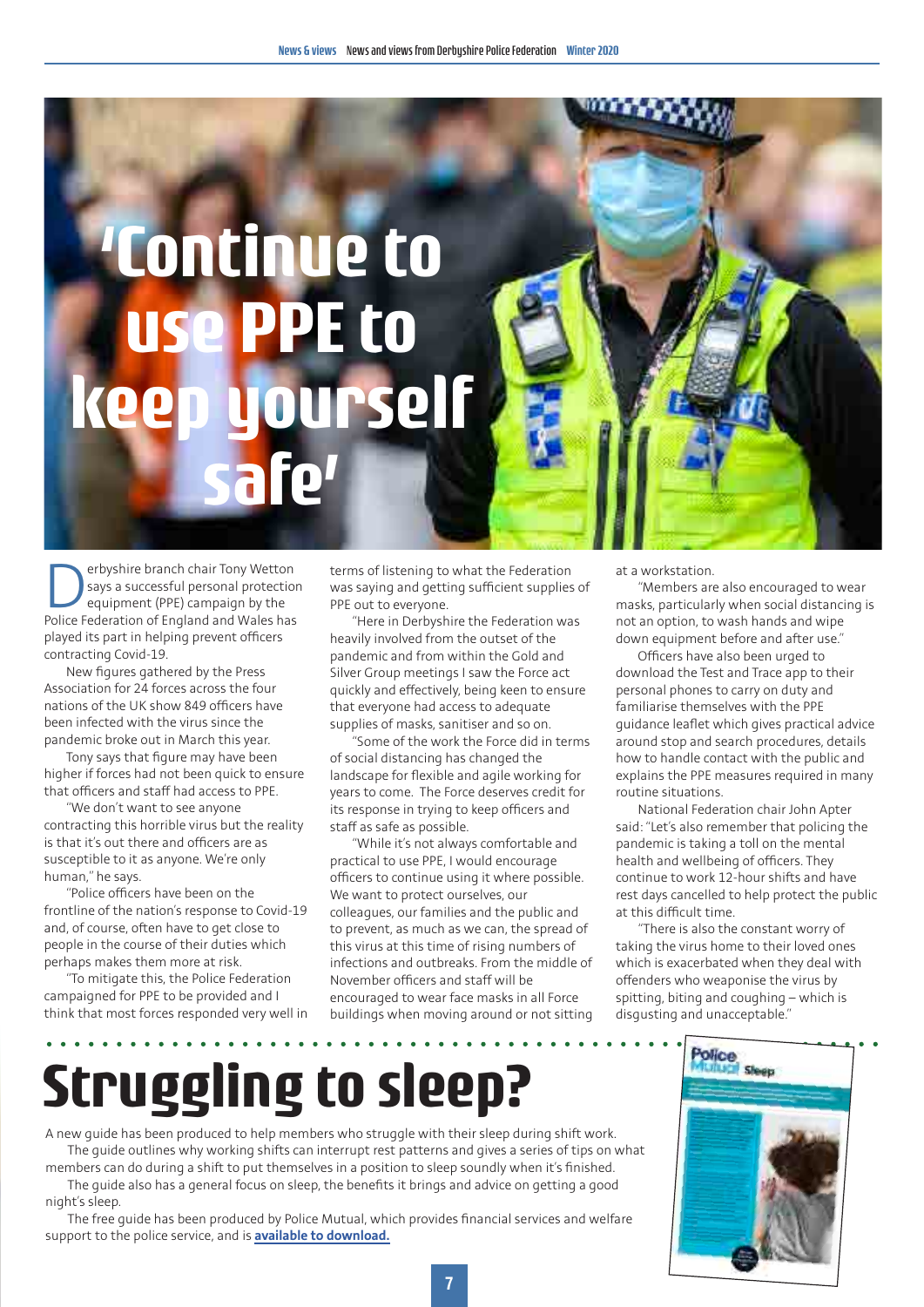

**Derbyshire branch chair Tony Wetton**<br>says a successful personal protection<br>equipment (PPE) campaign by the<br>Police Federation of Fngland and Wales has says a successful personal protection equipment (PPE) campaign by the Police Federation of England and Wales has played its part in helping prevent officers contracting Covid-19.

New figures gathered by the Press Association for 24 forces across the four nations of the UK show 849 officers have been infected with the virus since the pandemic broke out in March this year.

Tony says that figure may have been higher if forces had not been quick to ensure that officers and staff had access to PPE.

"We don't want to see anyone contracting this horrible virus but the reality is that it's out there and officers are as susceptible to it as anyone. We're only human," he says.

"Police officers have been on the frontline of the nation's response to Covid-19 and, of course, often have to get close to people in the course of their duties which perhaps makes them more at risk.

"To mitigate this, the Police Federation campaigned for PPE to be provided and I think that most forces responded very well in terms of listening to what the Federation was saying and getting sufficient supplies of PPE out to everyone.

"Here in Derbyshire the Federation was heavily involved from the outset of the pandemic and from within the Gold and Silver Group meetings I saw the Force act quickly and effectively, being keen to ensure that everyone had access to adequate supplies of masks, sanitiser and so on.

"Some of the work the Force did in terms of social distancing has changed the landscape for flexible and agile working for years to come. The Force deserves credit for its response in trying to keep officers and staff as safe as possible.

"While it's not always comfortable and practical to use PPE, I would encourage officers to continue using it where possible. We want to protect ourselves, our colleagues, our families and the public and to prevent, as much as we can, the spread of this virus at this time of rising numbers of infections and outbreaks. From the middle of November officers and staff will be encouraged to wear face masks in all Force buildings when moving around or not sitting

at a workstation.

"Members are also encouraged to wear masks, particularly when social distancing is not an option, to wash hands and wipe down equipment before and after use."

Officers have also been urged to download the Test and Trace app to their personal phones to carry on duty and familiarise themselves with the PPE guidance leaflet which gives practical advice around stop and search procedures, details how to handle contact with the public and explains the PPE measures required in many routine situations.

National Federation chair John Apter said: "Let's also remember that policing the pandemic is taking a toll on the mental health and wellbeing of officers. They continue to work 12-hour shifts and have rest days cancelled to help protect the public at this difficult time.

"There is also the constant worry of taking the virus home to their loved ones which is exacerbated when they deal with offenders who weaponise the virus by spitting, biting and coughing – which is disgusting and unacceptable."

## **Struggling to sleep?**

A new guide has been produced to help members who struggle with their sleep during shift work. The guide outlines why working shifts can interrupt rest patterns and gives a series of tips on what members can do during a shift to put themselves in a position to sleep soundly when it's finished.

The guide also has a general focus on sleep, the benefits it brings and advice on getting a good night's sleep.

The free guide has been produced by Police Mutual, which provides financial services and welfare support to the police service, and is **[available to download.](https://www.policemutual.co.uk/media/sledbbco/6582-pm-covid-factsheet-sleep-final-with-links.pdf?v=601)**

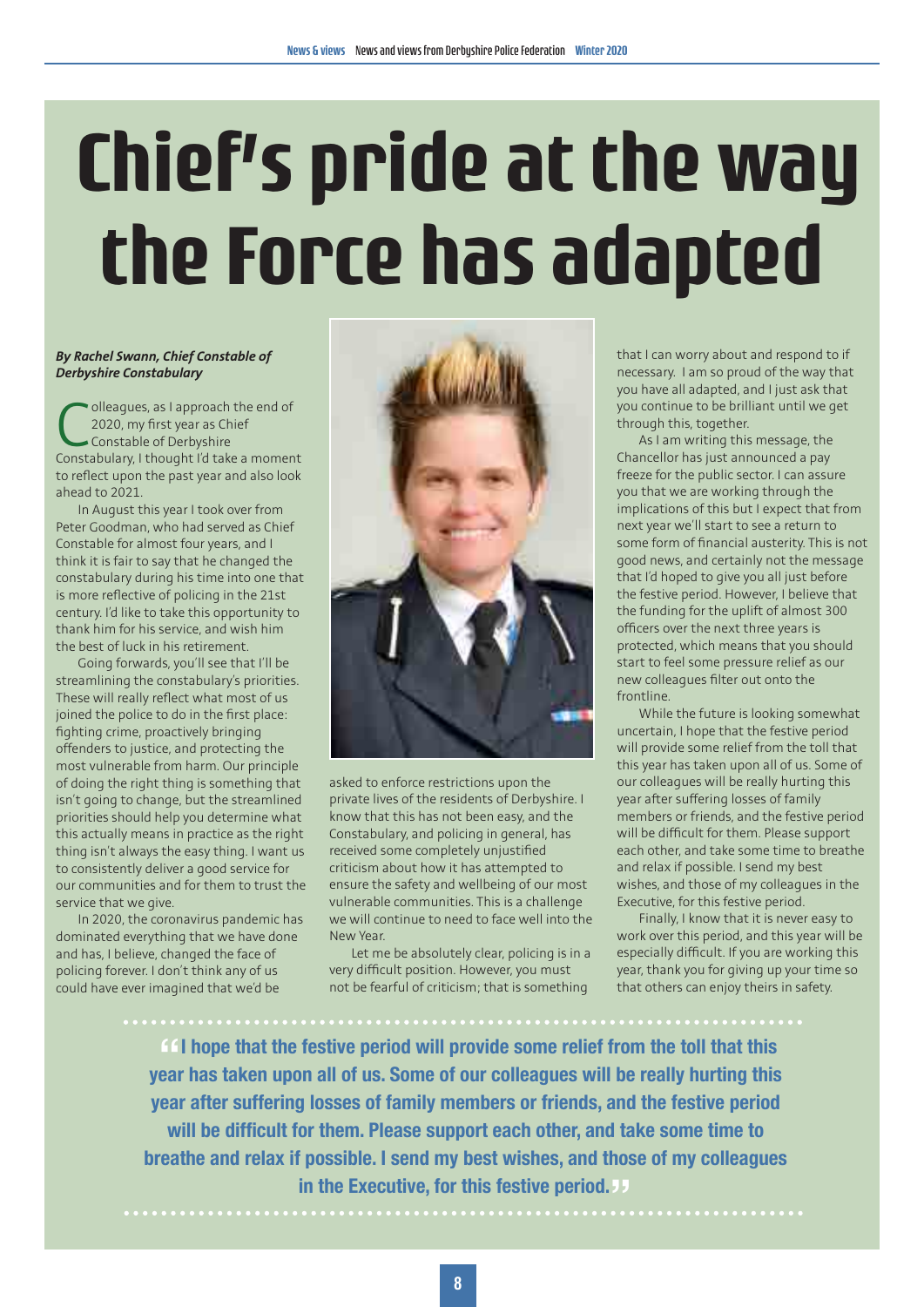# **Chief's pride at the way the Force has adapted**

#### *By Rachel Swann, Chief Constable of Derbyshire Constabulary*

olleagues, as I approach the end of 2020, my first year as Chief Constable of Derbyshire Constabulary, I thought I'd take a moment to reflect upon the past year and also look ahead to 2021.

In August this year I took over from Peter Goodman, who had served as Chief Constable for almost four years, and I think it is fair to say that he changed the constabulary during his time into one that is more reflective of policing in the 21st century. I'd like to take this opportunity to thank him for his service, and wish him the best of luck in his retirement.

Going forwards, you'll see that I'll be streamlining the constabulary's priorities. These will really reflect what most of us joined the police to do in the first place: fighting crime, proactively bringing offenders to justice, and protecting the most vulnerable from harm. Our principle of doing the right thing is something that isn't going to change, but the streamlined priorities should help you determine what this actually means in practice as the right thing isn't always the easy thing. I want us to consistently deliver a good service for our communities and for them to trust the service that we give.

In 2020, the coronavirus pandemic has dominated everything that we have done and has, I believe, changed the face of policing forever. I don't think any of us could have ever imagined that we'd be



asked to enforce restrictions upon the private lives of the residents of Derbyshire. I know that this has not been easy, and the Constabulary, and policing in general, has received some completely unjustified criticism about how it has attempted to ensure the safety and wellbeing of our most vulnerable communities. This is a challenge we will continue to need to face well into the New Year.

Let me be absolutely clear, policing is in a very difficult position. However, you must not be fearful of criticism; that is something

that I can worry about and respond to if necessary. I am so proud of the way that you have all adapted, and I just ask that you continue to be brilliant until we get through this, together.

As I am writing this message, the Chancellor has just announced a pay freeze for the public sector. I can assure you that we are working through the implications of this but I expect that from next year we'll start to see a return to some form of financial austerity. This is not good news, and certainly not the message that I'd hoped to give you all just before the festive period. However, I believe that the funding for the uplift of almost 300 officers over the next three years is protected, which means that you should start to feel some pressure relief as our new colleagues filter out onto the frontline.

While the future is looking somewhat uncertain, I hope that the festive period will provide some relief from the toll that this year has taken upon all of us. Some of our colleagues will be really hurting this year after suffering losses of family members or friends, and the festive period will be difficult for them. Please support each other, and take some time to breathe and relax if possible. I send my best wishes, and those of my colleagues in the Executive, for this festive period.

Finally, I know that it is never easy to work over this period, and this year will be especially difficult. If you are working this year, thank you for giving up your time so that others can enjoy theirs in safety.

**" year has taken upon all of us. Some of our colleagues will be really hurting this If all hope that the festive period will provide some relief from the toll that this year after suffering losses of family members or friends, and the festive period will be difficult for them. Please support each other, and take some time to breathe and relax if possible. I send my best wishes, and those of my colleagues in the Executive, for this festive period. "**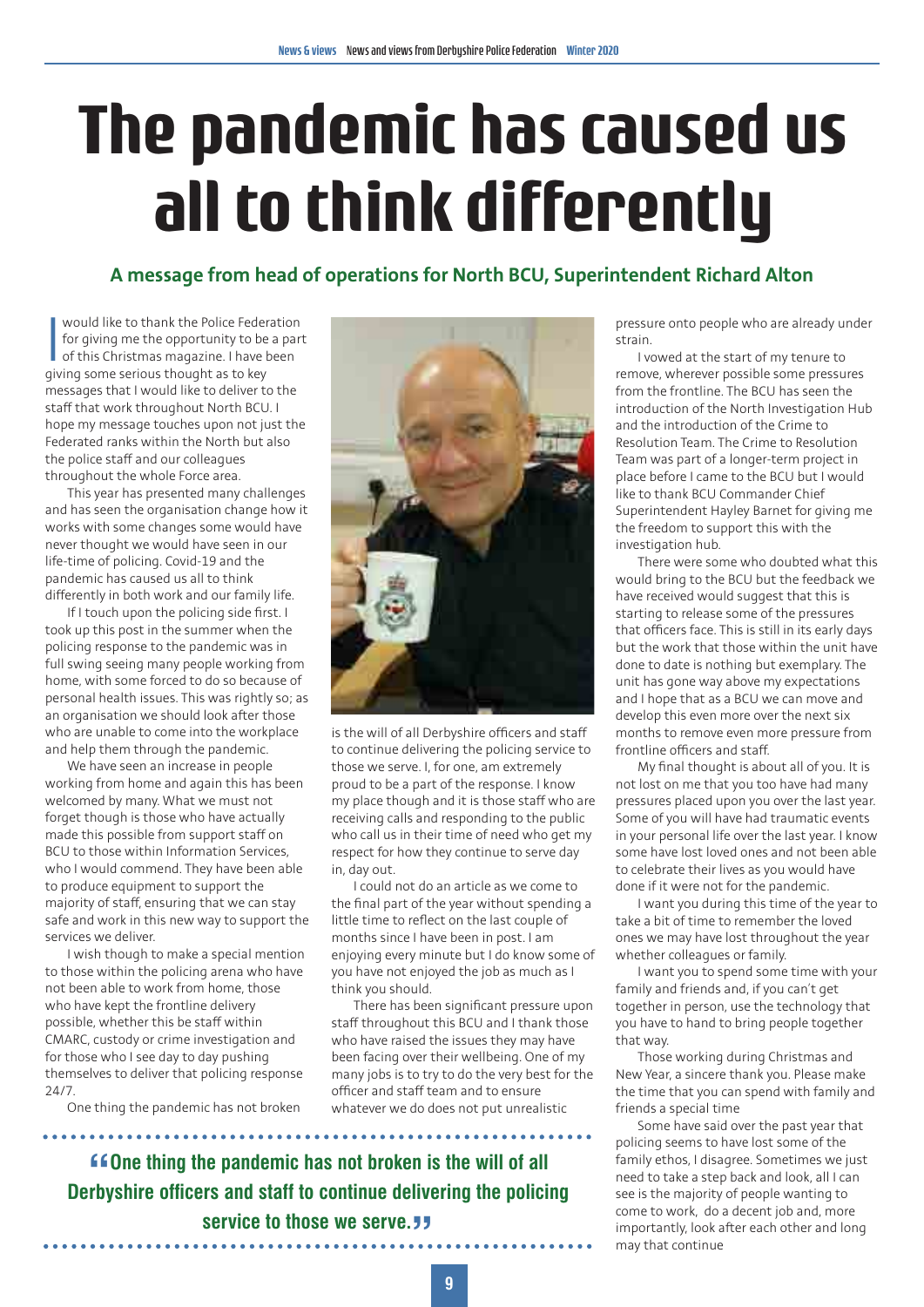## **The pandemic has caused us all to think differently**

### **A message from head of operations for North BCU, Superintendent Richard Alton**

would like to thank the Police Feder<br>for giving me the opportunity to be<br>of this Christmas magazine. I have b<br>giving some serious thought as to key would like to thank the Police Federation for giving me the opportunity to be a part of this Christmas magazine. I have been messages that I would like to deliver to the staff that work throughout North BCU. I hope my message touches upon not just the Federated ranks within the North but also the police staff and our colleagues throughout the whole Force area.

This year has presented many challenges and has seen the organisation change how it works with some changes some would have never thought we would have seen in our life-time of policing. Covid-19 and the pandemic has caused us all to think differently in both work and our family life.

If I touch upon the policing side first. I took up this post in the summer when the policing response to the pandemic was in full swing seeing many people working from home, with some forced to do so because of personal health issues. This was rightly so; as an organisation we should look after those who are unable to come into the workplace and help them through the pandemic.

We have seen an increase in people working from home and again this has been welcomed by many. What we must not forget though is those who have actually made this possible from support staff on BCU to those within Information Services, who I would commend. They have been able to produce equipment to support the majority of staff, ensuring that we can stay safe and work in this new way to support the services we deliver.

I wish though to make a special mention to those within the policing arena who have not been able to work from home, those who have kept the frontline delivery possible, whether this be staff within CMARC, custody or crime investigation and for those who I see day to day pushing themselves to deliver that policing response 24/7.

One thing the pandemic has not broken



is the will of all Derbyshire officers and staff to continue delivering the policing service to those we serve. I, for one, am extremely proud to be a part of the response. I know my place though and it is those staff who are receiving calls and responding to the public who call us in their time of need who get my respect for how they continue to serve day in, day out.

I could not do an article as we come to the final part of the year without spending a little time to reflect on the last couple of months since I have been in post. I am enjoying every minute but I do know some of you have not enjoyed the job as much as I think you should.

There has been significant pressure upon staff throughout this BCU and I thank those who have raised the issues they may have been facing over their wellbeing. One of my many jobs is to try to do the very best for the officer and staff team and to ensure whatever we do does not put unrealistic

**" Derbyshire officers and staff to continue delivering the policing COne thing the pandemic has not broken is the will of all service to those we serve.** 

pressure onto people who are already under strain.

I vowed at the start of my tenure to remove, wherever possible some pressures from the frontline. The BCU has seen the introduction of the North Investigation Hub and the introduction of the Crime to Resolution Team. The Crime to Resolution Team was part of a longer-term project in place before I came to the BCU but I would like to thank BCU Commander Chief Superintendent Hayley Barnet for giving me the freedom to support this with the investigation hub.

There were some who doubted what this would bring to the BCU but the feedback we have received would suggest that this is starting to release some of the pressures that officers face. This is still in its early days but the work that those within the unit have done to date is nothing but exemplary. The unit has gone way above my expectations and I hope that as a BCU we can move and develop this even more over the next six months to remove even more pressure from frontline officers and staff.

My final thought is about all of you. It is not lost on me that you too have had many pressures placed upon you over the last year. Some of you will have had traumatic events in your personal life over the last year. I know some have lost loved ones and not been able to celebrate their lives as you would have done if it were not for the pandemic.

I want you during this time of the year to take a bit of time to remember the loved ones we may have lost throughout the year whether colleagues or family.

I want you to spend some time with your family and friends and, if you can't get together in person, use the technology that you have to hand to bring people together that way.

Those working during Christmas and New Year, a sincere thank you. Please make the time that you can spend with family and friends a special time

Some have said over the past year that policing seems to have lost some of the family ethos, I disagree. Sometimes we just need to take a step back and look, all I can see is the majority of people wanting to come to work, do a decent job and, more importantly, look after each other and long may that continue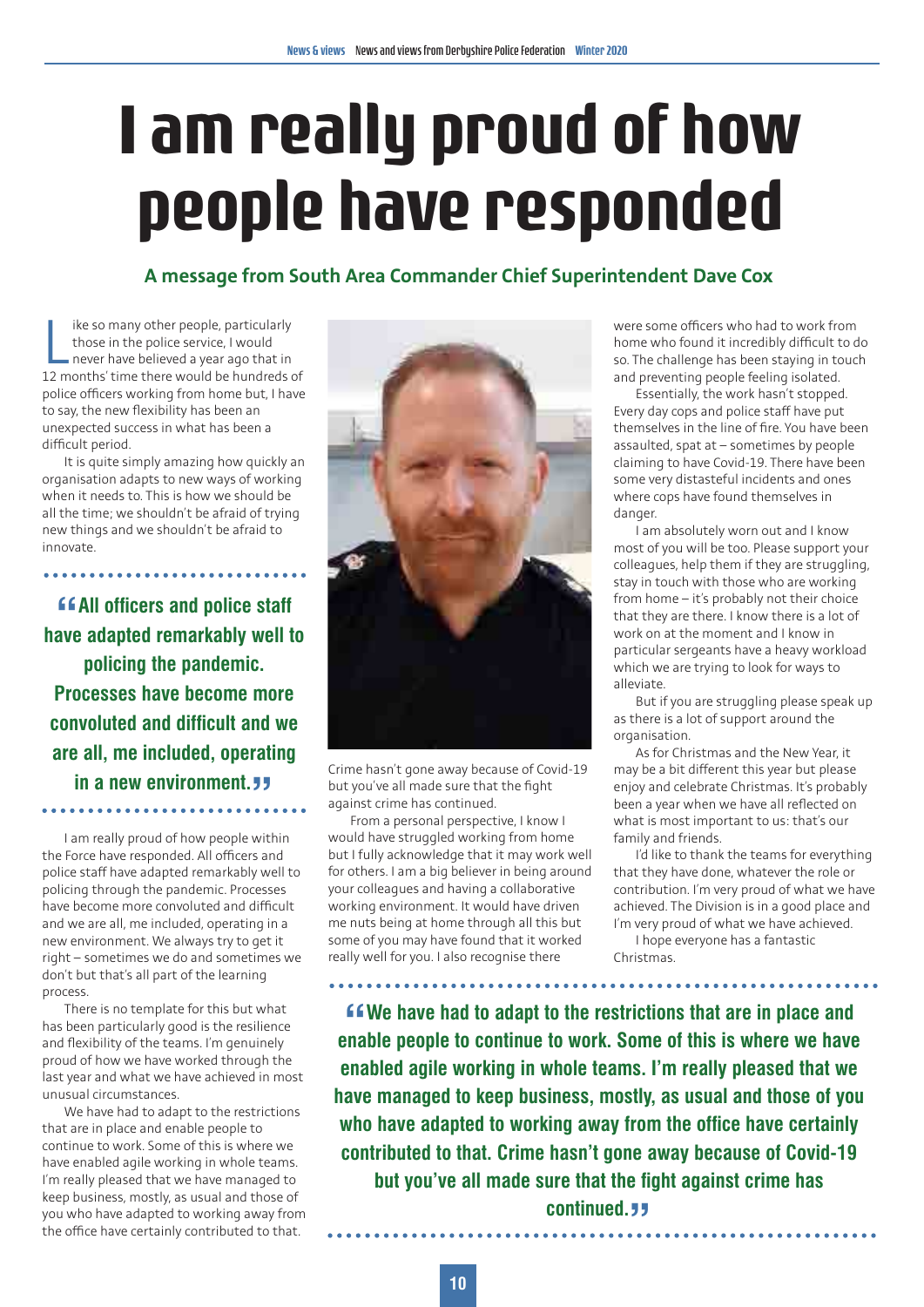## **I am really proud of how people have responded**

#### **A message from South Area Commander Chief Superintendent Dave Cox**

I ike so many other people, particularly<br>those in the police service, I would<br>never have believed a year ago that in<br>12 months' time there would be hundreds of ike so many other people, particularly those in the police service, I would never have believed a year ago that in police officers working from home but, I have to say, the new flexibility has been an unexpected success in what has been a difficult period.

It is quite simply amazing how quickly an organisation adapts to new ways of working when it needs to. This is how we should be all the time; we shouldn't be afraid of trying new things and we shouldn't be afraid to innovate.

**" have adapted remarkably well to All officers and police staff policing the pandemic. Processes have become more convoluted and difficult and we are all, me included, operating in a new environment. "**

I am really proud of how people within the Force have responded. All officers and police staff have adapted remarkably well to policing through the pandemic. Processes have become more convoluted and difficult and we are all, me included, operating in a new environment. We always try to get it right – sometimes we do and sometimes we don't but that's all part of the learning process.

There is no template for this but what has been particularly good is the resilience and flexibility of the teams. I'm genuinely proud of how we have worked through the last year and what we have achieved in most unusual circumstances.

We have had to adapt to the restrictions that are in place and enable people to continue to work. Some of this is where we have enabled agile working in whole teams. I'm really pleased that we have managed to keep business, mostly, as usual and those of you who have adapted to working away from the office have certainly contributed to that.



Crime hasn't gone away because of Covid-19 but you've all made sure that the fight against crime has continued.

From a personal perspective, I know I would have struggled working from home but I fully acknowledge that it may work well for others. I am a big believer in being around your colleagues and having a collaborative working environment. It would have driven me nuts being at home through all this but some of you may have found that it worked really well for you. I also recognise there

were some officers who had to work from home who found it incredibly difficult to do so. The challenge has been staying in touch and preventing people feeling isolated.

Essentially, the work hasn't stopped. Every day cops and police staff have put themselves in the line of fire. You have been assaulted, spat at – sometimes by people claiming to have Covid-19. There have been some very distasteful incidents and ones where cops have found themselves in danger

I am absolutely worn out and I know most of you will be too. Please support your colleagues, help them if they are struggling, stay in touch with those who are working from home – it's probably not their choice that they are there. I know there is a lot of work on at the moment and I know in particular sergeants have a heavy workload which we are trying to look for ways to alleviate.

But if you are struggling please speak up as there is a lot of support around the organisation.

As for Christmas and the New Year, it may be a bit different this year but please enjoy and celebrate Christmas. It's probably been a year when we have all reflected on what is most important to us: that's our family and friends.

I'd like to thank the teams for everything that they have done, whatever the role or contribution. I'm very proud of what we have achieved. The Division is in a good place and I'm very proud of what we have achieved.

I hope everyone has a fantastic Christmas.

 $\cdots$ 

**EXTERNAL EXECUTE: CONTEXNAL EXTERNAL EXECUTE: enable people to continue to work. Some of this is where we have We have had to adapt to the restrictions that are in place and enabled agile working in whole teams. I'm really pleased that we have managed to keep business, mostly, as usual and those of you who have adapted to working away from the office have certainly contributed to that. Crime hasn't gone away because of Covid-19 but you've all made sure that the fight against crime has continued.** 55